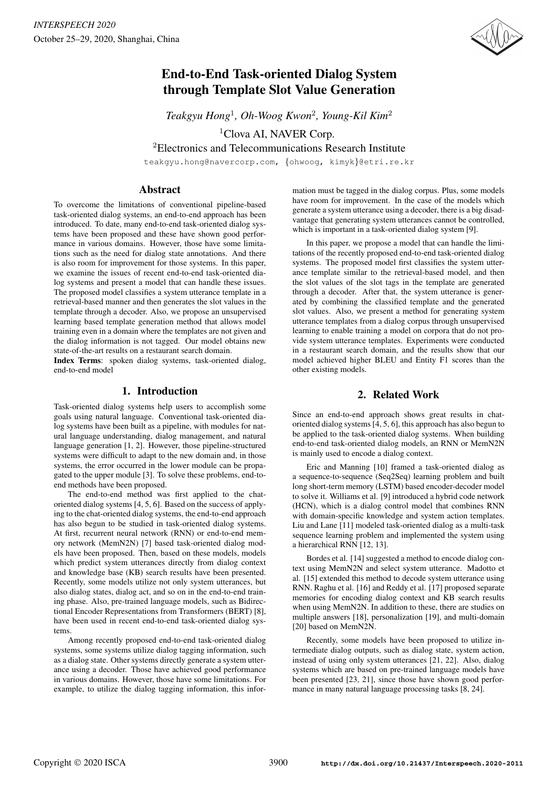

# End-to-End Task-oriented Dialog System through Template Slot Value Generation

*Teakgyu Hong*<sup>1</sup> *, Oh-Woog Kwon*<sup>2</sup> *, Young-Kil Kim*<sup>2</sup>

<sup>1</sup>Clova AI, NAVER Corp.

<sup>2</sup>Electronics and Telecommunications Research Institute

teakgyu.hong@navercorp.com, {ohwoog, kimyk}@etri.re.kr

# Abstract

To overcome the limitations of conventional pipeline-based task-oriented dialog systems, an end-to-end approach has been introduced. To date, many end-to-end task-oriented dialog systems have been proposed and these have shown good performance in various domains. However, those have some limitations such as the need for dialog state annotations. And there is also room for improvement for those systems. In this paper, we examine the issues of recent end-to-end task-oriented dialog systems and present a model that can handle these issues. The proposed model classifies a system utterance template in a retrieval-based manner and then generates the slot values in the template through a decoder. Also, we propose an unsupervised learning based template generation method that allows model training even in a domain where the templates are not given and the dialog information is not tagged. Our model obtains new state-of-the-art results on a restaurant search domain.

Index Terms: spoken dialog systems, task-oriented dialog, end-to-end model

# 1. Introduction

Task-oriented dialog systems help users to accomplish some goals using natural language. Conventional task-oriented dialog systems have been built as a pipeline, with modules for natural language understanding, dialog management, and natural language generation [1, 2]. However, those pipeline-structured systems were difficult to adapt to the new domain and, in those systems, the error occurred in the lower module can be propagated to the upper module [3]. To solve these problems, end-toend methods have been proposed.

The end-to-end method was first applied to the chatoriented dialog systems [4, 5, 6]. Based on the success of applying to the chat-oriented dialog systems, the end-to-end approach has also begun to be studied in task-oriented dialog systems. At first, recurrent neural network (RNN) or end-to-end memory network (MemN2N) [7] based task-oriented dialog models have been proposed. Then, based on these models, models which predict system utterances directly from dialog context and knowledge base (KB) search results have been presented. Recently, some models utilize not only system utterances, but also dialog states, dialog act, and so on in the end-to-end training phase. Also, pre-trained language models, such as Bidirectional Encoder Representations from Transformers (BERT) [8], have been used in recent end-to-end task-oriented dialog systems.

Among recently proposed end-to-end task-oriented dialog systems, some systems utilize dialog tagging information, such as a dialog state. Other systems directly generate a system utterance using a decoder. Those have achieved good performance in various domains. However, those have some limitations. For example, to utilize the dialog tagging information, this information must be tagged in the dialog corpus. Plus, some models have room for improvement. In the case of the models which generate a system utterance using a decoder, there is a big disadvantage that generating system utterances cannot be controlled, which is important in a task-oriented dialog system [9].

In this paper, we propose a model that can handle the limitations of the recently proposed end-to-end task-oriented dialog systems. The proposed model first classifies the system utterance template similar to the retrieval-based model, and then the slot values of the slot tags in the template are generated through a decoder. After that, the system utterance is generated by combining the classified template and the generated slot values. Also, we present a method for generating system utterance templates from a dialog corpus through unsupervised learning to enable training a model on corpora that do not provide system utterance templates. Experiments were conducted in a restaurant search domain, and the results show that our model achieved higher BLEU and Entity F1 scores than the other existing models.

# 2. Related Work

Since an end-to-end approach shows great results in chatoriented dialog systems [4, 5, 6], this approach has also begun to be applied to the task-oriented dialog systems. When building end-to-end task-oriented dialog models, an RNN or MemN2N is mainly used to encode a dialog context.

Eric and Manning [10] framed a task-oriented dialog as a sequence-to-sequence (Seq2Seq) learning problem and built long short-term memory (LSTM) based encoder-decoder model to solve it. Williams et al. [9] introduced a hybrid code network (HCN), which is a dialog control model that combines RNN with domain-specific knowledge and system action templates. Liu and Lane [11] modeled task-oriented dialog as a multi-task sequence learning problem and implemented the system using a hierarchical RNN [12, 13].

Bordes et al. [14] suggested a method to encode dialog context using MemN2N and select system utterance. Madotto et al. [15] extended this method to decode system utterance using RNN. Raghu et al. [16] and Reddy et al. [17] proposed separate memories for encoding dialog context and KB search results when using MemN2N. In addition to these, there are studies on multiple answers [18], personalization [19], and multi-domain [20] based on MemN2N.

Recently, some models have been proposed to utilize intermediate dialog outputs, such as dialog state, system action, instead of using only system utterances [21, 22]. Also, dialog systems which are based on pre-trained language models have been presented [23, 21], since those have shown good performance in many natural language processing tasks [8, 24].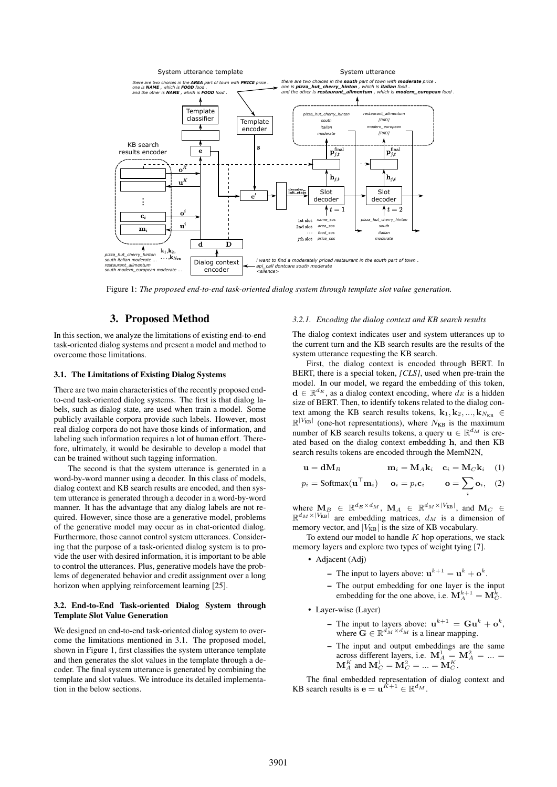

Figure 1: *The proposed end-to-end task-oriented dialog system through template slot value generation.*

# 3. Proposed Method

In this section, we analyze the limitations of existing end-to-end task-oriented dialog systems and present a model and method to overcome those limitations.

## 3.1. The Limitations of Existing Dialog Systems

There are two main characteristics of the recently proposed endto-end task-oriented dialog systems. The first is that dialog labels, such as dialog state, are used when train a model. Some publicly available corpora provide such labels. However, most real dialog corpora do not have those kinds of information, and labeling such information requires a lot of human effort. Therefore, ultimately, it would be desirable to develop a model that can be trained without such tagging information.

The second is that the system utterance is generated in a word-by-word manner using a decoder. In this class of models, dialog context and KB search results are encoded, and then system utterance is generated through a decoder in a word-by-word manner. It has the advantage that any dialog labels are not required. However, since those are a generative model, problems of the generative model may occur as in chat-oriented dialog. Furthermore, those cannot control system utterances. Considering that the purpose of a task-oriented dialog system is to provide the user with desired information, it is important to be able to control the utterances. Plus, generative models have the problems of degenerated behavior and credit assignment over a long horizon when applying reinforcement learning [25].

#### 3.2. End-to-End Task-oriented Dialog System through Template Slot Value Generation

We designed an end-to-end task-oriented dialog system to overcome the limitations mentioned in 3.1. The proposed model, shown in Figure 1, first classifies the system utterance template and then generates the slot values in the template through a decoder. The final system utterance is generated by combining the template and slot values. We introduce its detailed implementation in the below sections.

#### *3.2.1. Encoding the dialog context and KB search results*

The dialog context indicates user and system utterances up to the current turn and the KB search results are the results of the system utterance requesting the KB search.

First, the dialog context is encoded through BERT. In BERT, there is a special token, *[CLS]*, used when pre-train the model. In our model, we regard the embedding of this token,  $\mathbf{d} \in \mathbb{R}^{d_E}$ , as a dialog context encoding, where  $d_E$  is a hidden size of BERT. Then, to identify tokens related to the dialog context among the KB search results tokens,  $\mathbf{k}_1, \mathbf{k}_2, ..., \mathbf{k}_{N_{\text{KR}}} \in$  $\mathbb{R}^{|V_{KB}|}$  (one-hot representations), where  $N_{KB}$  is the maximum number of KB search results tokens, a query  $\mathbf{u} \in \mathbb{R}^{d_M}$  is created based on the dialog context embedding h, and then KB search results tokens are encoded through the MemN2N,

$$
\mathbf{u} = \mathbf{dM}_B \qquad \mathbf{m}_i = \mathbf{M}_A \mathbf{k}_i \quad \mathbf{c}_i = \mathbf{M}_C \mathbf{k}_i \quad (1)
$$

$$
p_i = \text{Softmax}(\mathbf{u}^\top \mathbf{m}_i) \qquad \mathbf{o}_i = p_i \mathbf{c}_i \qquad \mathbf{o} = \sum \mathbf{o}_i, \quad (2)
$$

i

where  $\mathbf{M}_B \in \mathbb{R}^{d_E \times d_M}$ ,  $\mathbf{M}_A \in \mathbb{R}^{d_M \times |V_{KB}|}$ , and  $\mathbf{M}_C \in$  $\mathbb{R}^{d_M \times |V_{KB}|}$  are embedding matrices,  $d_M$  is a dimension of memory vector, and  $|V_{KB}|$  is the size of KB vocabulary.

To extend our model to handle  $K$  hop operations, we stack memory layers and explore two types of weight tying [7].

- Adjacent (Adj)
	- The input to layers above:  $\mathbf{u}^{k+1} = \mathbf{u}^k + \mathbf{o}^k$ .
	- The output embedding for one layer is the input embedding for the one above, i.e.  $\mathbf{M}_{A}^{k+1} = \mathbf{M}_{C}^{k}$ .
- Layer-wise (Layer)
	- The input to layers above:  $\mathbf{u}^{k+1} = \mathbf{G} \mathbf{u}^k + \mathbf{o}^k$ , where  $\mathbf{G} \in \mathbb{R}^{d_M \times d_M}$  is a linear mapping.
	- The input and output embeddings are the same across different layers, i.e.  $M_A^1 = M_A^2 = ... =$  $\mathbf{M}_{A}^{K}$  and  $\mathbf{M}_{C}^{1} = \mathbf{M}_{C}^{2} = \ldots = \mathbf{M}_{C}^{K}$ .

The final embedded representation of dialog context and KB search results is  $\mathbf{e} = \mathbf{u}^{\tilde{K}+1} \in \mathbb{R}^{d_M}$ .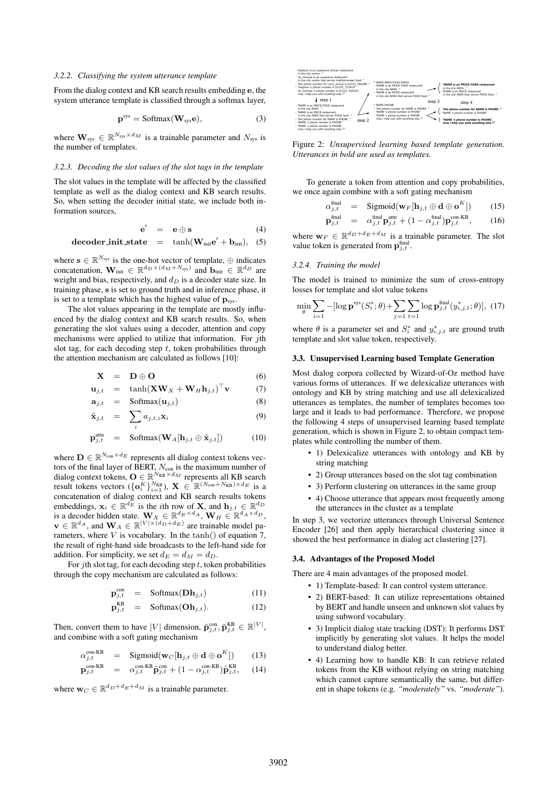#### *3.2.2. Classifying the system utterance template*

From the dialog context and KB search results embedding e, the system utterance template is classified through a softmax layer,

$$
\mathbf{p}^{sys} = \text{Softmax}(\mathbf{W}_{sys}\mathbf{e}),\tag{3}
$$

where  $\mathbf{W}_{sys} \in \mathbb{R}^{N_{sys} \times d_M}$  is a trainable parameter and  $N_{sys}$  is the number of templates.

#### *3.2.3. Decoding the slot values of the slot tags in the template*

The slot values in the template will be affected by the classified template as well as the dialog context and KB search results. So, when setting the decoder initial state, we include both information sources,

$$
\mathbf{e}' = \mathbf{e} \oplus \mathbf{s} \tag{4}
$$

$$
\textbf{decoder\_init\_state} \quad = \quad \tanh(\mathbf{W}_{init}\mathbf{e}' + \mathbf{b}_{init}), \quad (5)
$$

where  $\mathbf{s} \in \mathbb{R}^{N_{\text{sys}}}$  is the one-hot vector of template,  $\oplus$  indicates concatenation,  $\mathbf{W}_{\text{init}} \in \mathbb{R}^{d_D \times (d_M + N_{\text{sys}})}$  and  $\mathbf{b}_{\text{init}} \in \mathbb{R}^{d_D}$  are weight and bias, respectively, and  $d<sub>D</sub>$  is a decoder state size. In training phase, s is set to ground truth and in inference phase, it is set to a template which has the highest value of  $\mathbf{p}_{sys}$ .

The slot values appearing in the template are mostly influenced by the dialog context and KB search results. So, when generating the slot values using a decoder, attention and copy mechanisms were applied to utilize that information. For  $j$ th slot tag, for each decoding step  $t$ , token probabilities through the attention mechanism are calculated as follows [10]:

$$
\mathbf{X} = \mathbf{D} \oplus \mathbf{O} \tag{6}
$$

$$
\mathbf{u}_{j,t} = \tanh(\mathbf{X}\mathbf{W}_X + \mathbf{W}_H \mathbf{h}_{j,t})^\top \mathbf{v} \tag{7}
$$

$$
\mathbf{a}_{j,t} = \text{Softmax}(\mathbf{u}_{j,t}) \tag{8}
$$

$$
\tilde{\mathbf{x}}_{j,t} = \sum_i a_{j,t,i} \mathbf{x}_i \tag{9}
$$

$$
\mathbf{p}_{j,t}^{\text{attn}} = \text{Softmax}(\mathbf{W}_{A}[\mathbf{h}_{j,t} \oplus \tilde{\mathbf{x}}_{j,t}]) \quad (10)
$$

where  $\mathbf{D} \in \mathbb{R}^{N_{\text{con}} \times d_E}$  represents all dialog context tokens vectors of the final layer of BERT,  $N_{\text{con}}$  is the maximum number of dialog context tokens,  $\mathbf{O} \in \mathbb{R}^{N_{\text{KB}} \times d_M}$  represents all KB search result tokens vectors  $(\{{\bf o}_{i}^{K}\}_{i=1}^{N_{KB}})$ ,  ${\bf X} \in \mathbb{R}^{(N_{con}+N_{KB}) \times d_E}$  is a concatenation of dialog context and KB search results tokens embeddings,  $\mathbf{x}_i \in \mathbb{R}^{d_E}$  is the *i*th row of **X**, and  $\mathbf{h}_{j,t} \in \mathbb{R}^{d_D}$ is a decoder hidden state.  $\mathbf{W}_X \in \mathbb{R}^{d_E \times d_A}, \mathbf{W}_H \in \mathbb{R}^{d_A \times d_D},$  $\mathbf{v} \in \mathbb{R}^{d_A}$ , and  $\mathbf{W}_A \in \mathbb{R}^{|V| \times (d_D + d_E)}$  are trainable model parameters, where  $V$  is vocabulary. In the  $tanh()$  of equation 7, the result of right-hand side broadcasts to the left-hand side for addition. For simplicity, we set  $d_E = d_M = d_D$ .

For jth slot tag, for each decoding step  $t$ , token probabilities through the copy mechanism are calculated as follows:

$$
\mathbf{p}_{j,t}^{\text{con}} = \text{Softmax}(\mathbf{D}\mathbf{h}_{j,t}) \tag{11}
$$

$$
\mathbf{p}_{j,t}^{\text{KB}} = \text{Softmax}(\mathbf{Oh}_{j,t}). \tag{12}
$$

Then, convert them to have |V| dimension,  $\tilde{\mathbf{p}}_{j,t}^{\text{con}}, \tilde{\mathbf{p}}_{j,t}^{\text{KB}} \in \mathbb{R}^{|V|}$ , and combine with a soft gating mechanism

$$
\alpha_{j,t}^{\text{con-KB}} = \text{Sigmoid}(\mathbf{w}_C[\mathbf{h}_{j,t} \oplus \mathbf{d} \oplus \mathbf{o}^K]) \qquad (13)
$$

$$
\mathbf{p}_{j,t}^{\text{con-KB}} = \alpha_{j,t}^{\text{con-KB}} \tilde{\mathbf{p}}_{j,t}^{\text{con}} + (1 - \alpha_{j,t}^{\text{con-KB}}) \tilde{\mathbf{p}}_{j,t}^{\text{KB}}, \quad (14)
$$

where  $\mathbf{w}_C \in \mathbb{R}^{d_D+d_E+d_M}$  is a trainable parameter.



Figure 2: *Unsupervised learning based template generation. Utterances in bold are used as templates.*

To generate a token from attention and copy probabilities, we once again combine with a soft gating mechanism

$$
\alpha_{j,t}^{\text{final}} = \text{Sigmoid}(\mathbf{w}_F[\mathbf{h}_{j,t} \oplus \mathbf{d} \oplus \mathbf{o}^K]) \qquad (15)
$$

$$
\mathbf{p}_{j,t}^{\text{final}} = \alpha_{j,t}^{\text{final}} \mathbf{p}_{j,t}^{\text{attn}} + (1 - \alpha_{j,t}^{\text{final}}) \mathbf{p}_{j,t}^{\text{con-KB}}, \quad (16)
$$

where  $w_F \in \mathbb{R}^{d_D+d_E+d_M}$  is a trainable parameter. The slot value token is generated from  $\mathbf{p}_{j,t}^{\text{final}}$ .

#### *3.2.4. Training the model*

The model is trained to minimize the sum of cross-entropy losses for template and slot value tokens

$$
\min_{\theta} \sum_{i=1} -[\log \mathbf{p}^{\text{sys}}(S_i^*; \theta) + \sum_{j=1} \sum_{t=1} \log \mathbf{p}_{j,t}^{\text{final}}(y_{i,j,t}^*; \theta)], (17)
$$

where  $\theta$  is a parameter set and  $S_i^*$  and  $y_{i,j,t}^*$  are ground truth template and slot value token, respectively.

#### 3.3. Unsupervised Learning based Template Generation

Most dialog corpora collected by Wizard-of-Oz method have various forms of utterances. If we delexicalize utterances with ontology and KB by string matching and use all delexicalized utterances as templates, the number of templates becomes too large and it leads to bad performance. Therefore, we propose the following 4 steps of unsupervised learning based template generation, which is shown in Figure 2, to obtain compact templates while controlling the number of them.

- 1) Delexicalize utterances with ontology and KB by string matching
- 2) Group utterances based on the slot tag combination
- 3) Perform clustering on utterances in the same group
- 4) Choose utterance that appears most frequently among the utterances in the cluster as a template

In step 3, we vectorize utterances through Universal Sentence Encoder [26] and then apply hierarchical clustering since it showed the best performance in dialog act clustering [27].

## 3.4. Advantages of the Proposed Model

There are 4 main advantages of the proposed model.

- 1) Template-based: It can control system utterance.
- 2) BERT-based: It can utilize representations obtained by BERT and handle unseen and unknown slot values by using subword vocabulary.
- 3) Implicit dialog state tracking (DST): It performs DST implicitly by generating slot values. It helps the model to understand dialog better.
- 4) Learning how to handle KB: It can retrieve related tokens from the KB without relying on string matching which cannot capture semantically the same, but different in shape tokens (e.g. *"moderately"* vs. *"moderate"*).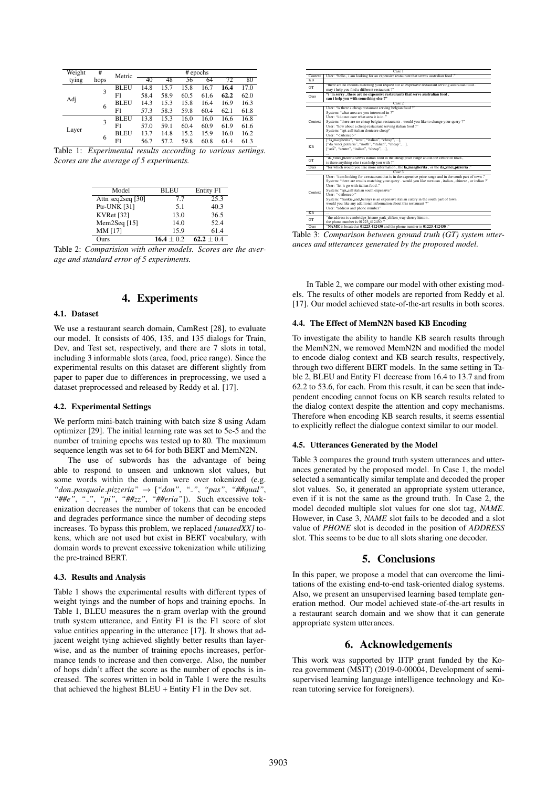| Weight | #    | Metric      | $#$ epochs |      |      |      |      |      |
|--------|------|-------------|------------|------|------|------|------|------|
| tying  | hops |             | 40         | 48   | 56   | 64   | 72   | 80   |
| Adj    | 3    | <b>BLEU</b> | 14.8       | 15.7 | 15.8 | 16.7 | 16.4 | 17.0 |
|        |      | F1          | 58.4       | 58.9 | 60.5 | 61.6 | 62.2 | 62.0 |
|        | 6    | <b>BLEU</b> | 14.3       | 15.3 | 15.8 | 16.4 | 16.9 | 16.3 |
|        |      | F1          | 57.3       | 58.3 | 59.8 | 60.4 | 62.1 | 61.8 |
| Layer  | 3    | <b>BLEU</b> | 13.8       | 15.3 | 16.0 | 16.0 | 16.6 | 16.8 |
|        |      | F1          | 57.0       | 59.1 | 60.4 | 60.9 | 61.9 | 61.6 |
|        | 6    | <b>BLEU</b> | 13.7       | 14.8 | 15.2 | 15.9 | 16.0 | 16.2 |
|        |      | F1          | 56.7       | 57.2 | 59.8 | 60.8 | 61.4 | 61.3 |

Table 1: *Experimental results according to various settings. Scores are the average of 5 experiments.*

| Model               | BLEU         | Entity F1    |
|---------------------|--------------|--------------|
| Attn seq2seq $[30]$ | 7.7          | 25.3         |
| Ptr-UNK [31]        | 5.1          | 40.3         |
| <b>KVRet</b> [32]   | 13.0         | 36.5         |
| Mem $2$ Seq [15]    | 14.0         | 52.4         |
| MM [17]             | 15.9         | 61.4         |
| <b>Durs</b>         | $16.4 + 0.2$ | $62.2 + 0.4$ |

Table 2: *Comparision with other models. Scores are the average and standard error of 5 experiments.*

# 4. Experiments

## 4.1. Dataset

We use a restaurant search domain, CamRest [28], to evaluate our model. It consists of 406, 135, and 135 dialogs for Train, Dev, and Test set, respectively, and there are 7 slots in total, including 3 informable slots (area, food, price range). Since the experimental results on this dataset are different slightly from paper to paper due to differences in preprocessing, we used a dataset preprocessed and released by Reddy et al. [17].

# 4.2. Experimental Settings

We perform mini-batch training with batch size 8 using Adam optimizer [29]. The initial learning rate was set to 5e-5 and the number of training epochs was tested up to 80. The maximum sequence length was set to 64 for both BERT and MemN2N.

The use of subwords has the advantage of being able to respond to unseen and unknown slot values, but some words within the domain were over tokenized (e.g.  $"don\_paguale\_pizeria" \rightarrow ['"don", "."," "pas", "#qual",$ *"##e"*, *" "*, *"pi"*, *"##zz"*, *"##eria"*]). Such excessive tokenization decreases the number of tokens that can be encoded and degrades performance since the number of decoding steps increases. To bypass this problem, we replaced *[unusedXX]* tokens, which are not used but exist in BERT vocabulary, with domain words to prevent excessive tokenization while utilizing the pre-trained BERT.

## 4.3. Results and Analysis

Table 1 shows the experimental results with different types of weight tyings and the number of hops and training epochs. In Table 1, BLEU measures the n-gram overlap with the ground truth system utterance, and Entity F1 is the F1 score of slot value entities appearing in the utterance [17]. It shows that adjacent weight tying achieved slightly better results than layerwise, and as the number of training epochs increases, performance tends to increase and then converge. Also, the number of hops didn't affect the score as the number of epochs is increased. The scores written in bold in Table 1 were the results that achieved the highest BLEU + Entity F1 in the Dev set.

|                  | Case 1                                                                                                    |  |  |  |  |  |
|------------------|-----------------------------------------------------------------------------------------------------------|--|--|--|--|--|
| Context          | User: "hello, i am looking for an expensive restaurant that serves australian food."                      |  |  |  |  |  |
| <b>KB</b>        |                                                                                                           |  |  |  |  |  |
| GT               | "there are no records matching your request for an expensive restaurant serving australian food.          |  |  |  |  |  |
|                  | may i help you find a different restaurant ?"                                                             |  |  |  |  |  |
|                  | "i'm sorry, there are no expensive restaurants that serve australian food.                                |  |  |  |  |  |
| Ours             | can i help vou with something else ?"                                                                     |  |  |  |  |  |
|                  | Case 2                                                                                                    |  |  |  |  |  |
| Context          | User: "is there a cheap restaurant serving belgian food ?"                                                |  |  |  |  |  |
|                  | System: "what area are you interested in ?"                                                               |  |  |  |  |  |
|                  | User: "i do not care what area it is in."                                                                 |  |  |  |  |  |
|                  | System: "there are no cheap belgian restaurants . would you like to change your query ?"                  |  |  |  |  |  |
|                  | User: "how about a cheap restaurant serving italian food ?"                                               |  |  |  |  |  |
|                  | System: "api_call italian dontcare cheap"                                                                 |  |  |  |  |  |
|                  | User: " <silence>"</silence>                                                                              |  |  |  |  |  |
|                  | ["la_margherita", "west", "italian", "cheap", ].                                                          |  |  |  |  |  |
|                  | ["da_vinci_pizzeria", "north", "italian", "cheap", ],                                                     |  |  |  |  |  |
| KB               | ["ask", "centre", "italian", "cheap", ],                                                                  |  |  |  |  |  |
|                  |                                                                                                           |  |  |  |  |  |
| GT               | "da_vinci_pizzeria serves italian food in the cheap price range and in the centre of town,                |  |  |  |  |  |
|                  | is there anything else i can help you with ?"                                                             |  |  |  |  |  |
| O <sub>urs</sub> | "for which would you like more information, the la margherita, or the da vinci pizzeria."                 |  |  |  |  |  |
|                  | Case 3                                                                                                    |  |  |  |  |  |
|                  | User: "i am looking for a restaurant that is in the expensive price range and in the south part of town." |  |  |  |  |  |
|                  | System: "there are results matching your query . would you like mexican, italian, chinese, or indian?"    |  |  |  |  |  |
| Context          | User: "let 's go with italian food."                                                                      |  |  |  |  |  |
|                  | System: "api_call italian south expensive"                                                                |  |  |  |  |  |
|                  | User: " <silence>"</silence>                                                                              |  |  |  |  |  |
|                  | System: "frankie_and_bennys is an expensive italian eatery in the south part of town.                     |  |  |  |  |  |
|                  | would you like any additional information about this restaurant ?"                                        |  |  |  |  |  |
|                  | User: "address and phone number"                                                                          |  |  |  |  |  |
| $\overline{KR}$  |                                                                                                           |  |  |  |  |  |
| GT               | "the address is cambridge leisure park clifton way cherry hinton.                                         |  |  |  |  |  |
|                  | the phone number is 01223,412430."                                                                        |  |  |  |  |  |
| Ours             | "NAME is located at 01223_412430 and the phone number is 01223_412430."                                   |  |  |  |  |  |

Table 3: *Comparison between ground truth (GT) system utterances and utterances generated by the proposed model.*

In Table 2, we compare our model with other existing models. The results of other models are reported from Reddy et al. [17]. Our model achieved state-of-the-art results in both scores.

#### 4.4. The Effect of MemN2N based KB Encoding

To investigate the ability to handle KB search results through the MemN2N, we removed MemN2N and modified the model to encode dialog context and KB search results, respectively, through two different BERT models. In the same setting in Table 2, BLEU and Entity F1 decrease from 16.4 to 13.7 and from 62.2 to 53.6, for each. From this result, it can be seen that independent encoding cannot focus on KB search results related to the dialog context despite the attention and copy mechanisms. Therefore when encoding KB search results, it seems essential to explicitly reflect the dialogue context similar to our model.

#### 4.5. Utterances Generated by the Model

Table 3 compares the ground truth system utterances and utterances generated by the proposed model. In Case 1, the model selected a semantically similar template and decoded the proper slot values. So, it generated an appropriate system utterance, even if it is not the same as the ground truth. In Case 2, the model decoded multiple slot values for one slot tag, *NAME*. However, in Case 3, *NAME* slot fails to be decoded and a slot value of *PHONE* slot is decoded in the position of *ADDRESS* slot. This seems to be due to all slots sharing one decoder.

## 5. Conclusions

In this paper, we propose a model that can overcome the limitations of the existing end-to-end task-oriented dialog systems. Also, we present an unsupervised learning based template generation method. Our model achieved state-of-the-art results in a restaurant search domain and we show that it can generate appropriate system utterances.

# 6. Acknowledgements

This work was supported by IITP grant funded by the Korea government (MSIT) (2019-0-00004, Development of semisupervised learning language intelligence technology and Korean tutoring service for foreigners).